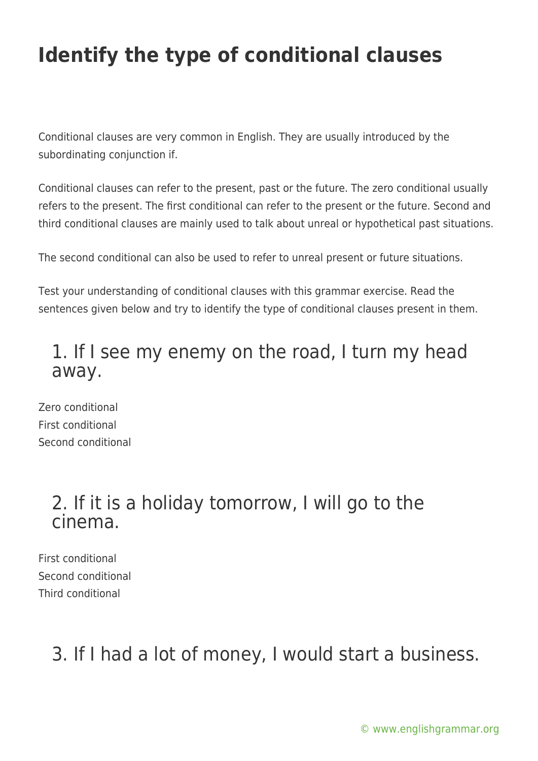## **Identify the type of conditional clauses**

Conditional clauses are very common in English. They are usually introduced by the subordinating conjunction if.

Conditional clauses can refer to the present, past or the future. The zero conditional usually refers to the present. The first conditional can refer to the present or the future. Second and third conditional clauses are mainly used to talk about unreal or hypothetical past situations.

The second conditional can also be used to refer to unreal present or future situations.

Test your understanding of conditional clauses with this grammar exercise. Read the sentences given below and try to identify the type of conditional clauses present in them.

### 1. If I see my enemy on the road, I turn my head away.

Zero conditional First conditional Second conditional

### 2. If it is a holiday tomorrow, I will go to the cinema.

First conditional Second conditional Third conditional

### 3. If I had a lot of money, I would start a business.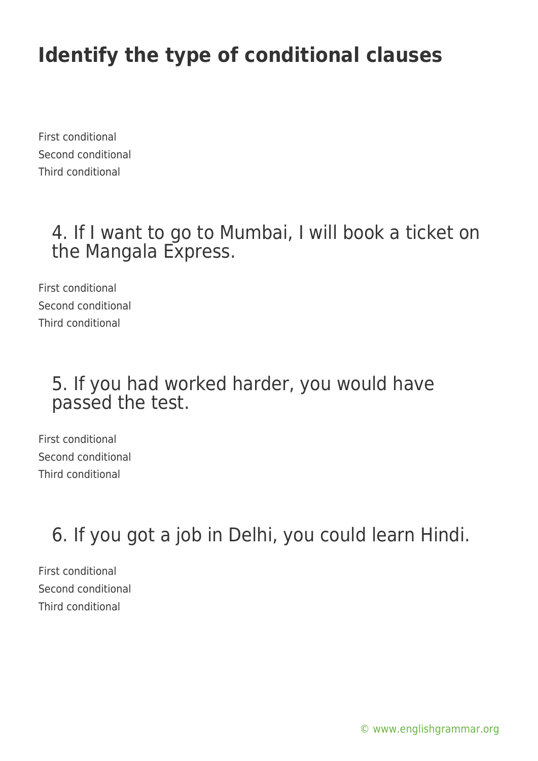### **Identify the type of conditional clauses**

First conditional Second conditional Third conditional

#### 4. If I want to go to Mumbai, I will book a ticket on the Mangala Express.

First conditional Second conditional Third conditional

#### 5. If you had worked harder, you would have passed the test.

First conditional Second conditional Third conditional

6. If you got a job in Delhi, you could learn Hindi.

First conditional Second conditional Third conditional

[© www.englishgrammar.org](https://www.englishgrammar.org/)